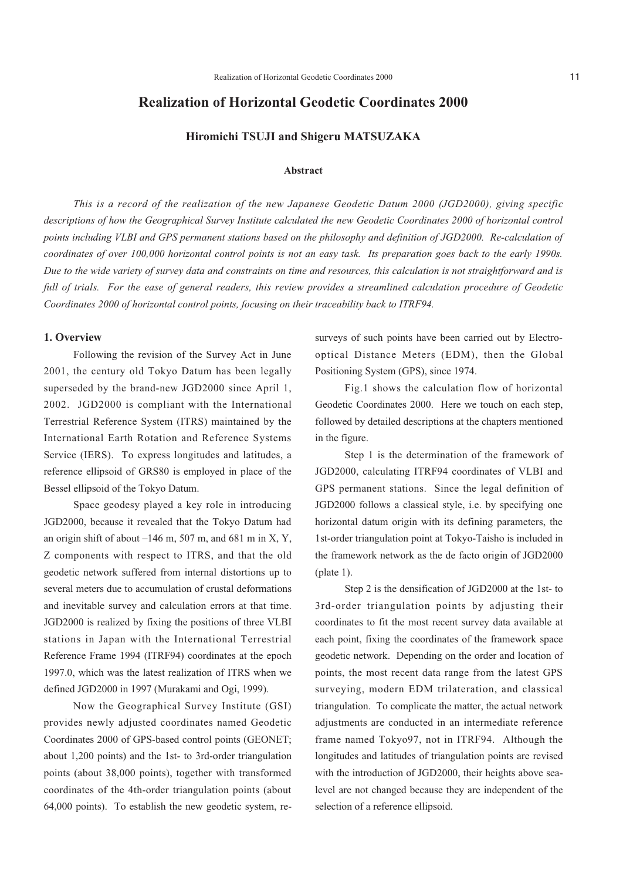## **Realization of Horizontal Geodetic Coordinates 2000**

## **Hiromichi TSUJI and Shigeru MATSUZAKA**

#### **Abstract**

*This is a record of the realization of the new Japanese Geodetic Datum 2000 (JGD2000), giving specific descriptions of how the Geographical Survey Institute calculated the new Geodetic Coordinates 2000 of horizontal control points including VLBI and GPS permanent stations based on the philosophy and definition of JGD2000. Re-calculation of coordinates of over 100,000 horizontal control points is not an easy task. Its preparation goes back to the early 1990s. Due to the wide variety of survey data and constraints on time and resources, this calculation is not straightforward and is full of trials. For the ease of general readers, this review provides a streamlined calculation procedure of Geodetic Coordinates 2000 of horizontal control points, focusing on their traceability back to ITRF94.*

## **1. Overview**

Following the revision of the Survey Act in June 2001, the century old Tokyo Datum has been legally superseded by the brand-new JGD2000 since April 1, 2002. JGD2000 is compliant with the International Terrestrial Reference System (ITRS) maintained by the International Earth Rotation and Reference Systems Service (IERS). To express longitudes and latitudes, a reference ellipsoid of GRS80 is employed in place of the Bessel ellipsoid of the Tokyo Datum.

Space geodesy played a key role in introducing JGD2000, because it revealed that the Tokyo Datum had an origin shift of about  $-146$  m, 507 m, and 681 m in X, Y, Z components with respect to ITRS, and that the old geodetic network suffered from internal distortions up to several meters due to accumulation of crustal deformations and inevitable survey and calculation errors at that time. JGD2000 is realized by fixing the positions of three VLBI stations in Japan with the International Terrestrial Reference Frame 1994 (ITRF94) coordinates at the epoch 1997.0, which was the latest realization of ITRS when we defined JGD2000 in 1997 (Murakami and Ogi, 1999).

Now the Geographical Survey Institute (GSI) provides newly adjusted coordinates named Geodetic Coordinates 2000 of GPS-based control points (GEONET; about 1,200 points) and the 1st- to 3rd-order triangulation points (about 38,000 points), together with transformed coordinates of the 4th-order triangulation points (about 64,000 points). To establish the new geodetic system, resurveys of such points have been carried out by Electrooptical Distance Meters (EDM), then the Global Positioning System (GPS), since 1974.

Fig.1 shows the calculation flow of horizontal Geodetic Coordinates 2000. Here we touch on each step, followed by detailed descriptions at the chapters mentioned in the figure.

Step 1 is the determination of the framework of JGD2000, calculating ITRF94 coordinates of VLBI and GPS permanent stations. Since the legal definition of JGD2000 follows a classical style, i.e. by specifying one horizontal datum origin with its defining parameters, the 1st-order triangulation point at Tokyo-Taisho is included in the framework network as the de facto origin of JGD2000 (plate 1).

Step 2 is the densification of JGD2000 at the 1st- to 3rd-order triangulation points by adjusting their coordinates to fit the most recent survey data available at each point, fixing the coordinates of the framework space geodetic network. Depending on the order and location of points, the most recent data range from the latest GPS surveying, modern EDM trilateration, and classical triangulation. To complicate the matter, the actual network adjustments are conducted in an intermediate reference frame named Tokyo97, not in ITRF94. Although the longitudes and latitudes of triangulation points are revised with the introduction of JGD2000, their heights above sealevel are not changed because they are independent of the selection of a reference ellipsoid.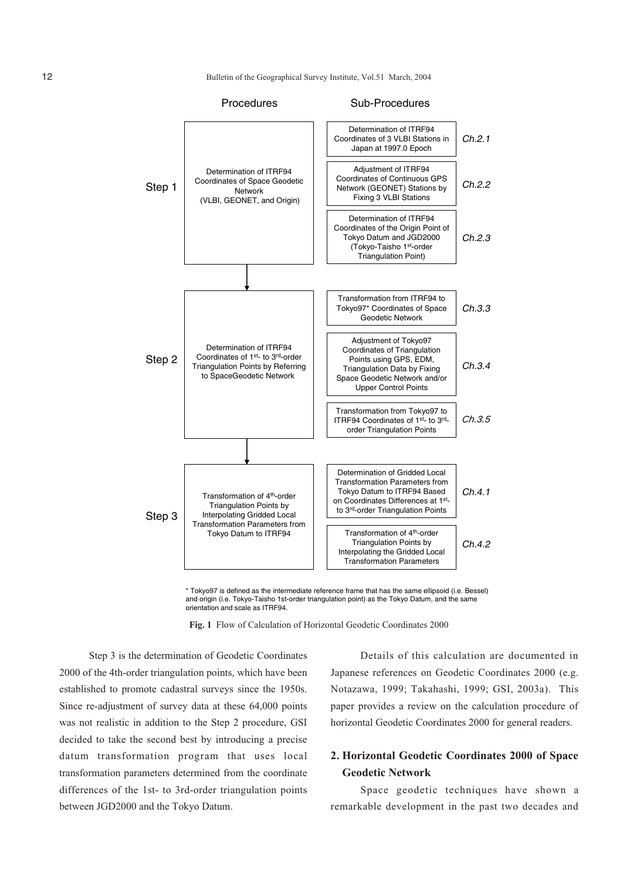12 Bulletin of the Geographical Survey Institute, Vol.51 March, 2004



\* Tokyo97 is defined as the intermediate reference frame that has the same ellipsoid (i.e. Bessel) and origin (i.e. Tokyo-Taisho 1st-order triangulation point) as the Tokyo Datum, and the same orientation and scale as ITRF94.

**Fig. 1** Flow of Calculation of Horizontal Geodetic Coordinates 2000

Step 3 is the determination of Geodetic Coordinates 2000 of the 4th-order triangulation points, which have been established to promote cadastral surveys since the 1950s. Since re-adjustment of survey data at these 64,000 points was not realistic in addition to the Step 2 procedure, GSI decided to take the second best by introducing a precise datum transformation program that uses local transformation parameters determined from the coordinate differences of the 1st- to 3rd-order triangulation points between JGD2000 and the Tokyo Datum.

Details of this calculation are documented in Japanese references on Geodetic Coordinates 2000 (e.g. Notazawa, 1999; Takahashi, 1999; GSI, 2003a). This paper provides a review on the calculation procedure of horizontal Geodetic Coordinates 2000 for general readers.

## **2. Horizontal Geodetic Coordinates 2000 of Space Geodetic Network**

Space geodetic techniques have shown a remarkable development in the past two decades and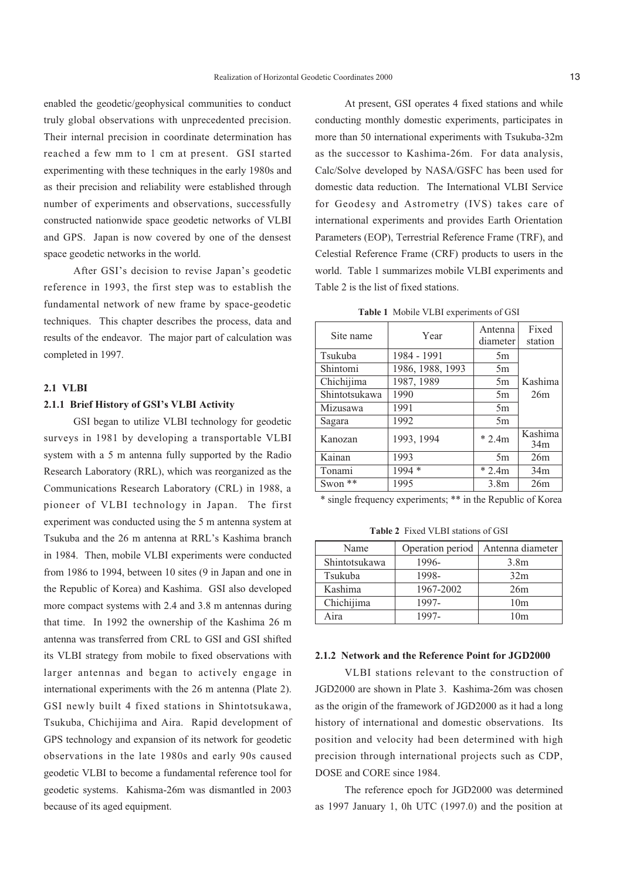enabled the geodetic/geophysical communities to conduct truly global observations with unprecedented precision. Their internal precision in coordinate determination has reached a few mm to 1 cm at present. GSI started experimenting with these techniques in the early 1980s and as their precision and reliability were established through number of experiments and observations, successfully constructed nationwide space geodetic networks of VLBI and GPS. Japan is now covered by one of the densest space geodetic networks in the world.

After GSI's decision to revise Japan's geodetic reference in 1993, the first step was to establish the fundamental network of new frame by space-geodetic techniques. This chapter describes the process, data and results of the endeavor. The major part of calculation was completed in 1997.

## **2.1 VLBI**

### **2.1.1 Brief History of GSI's VLBI Activity**

GSI began to utilize VLBI technology for geodetic surveys in 1981 by developing a transportable VLBI system with a 5 m antenna fully supported by the Radio Research Laboratory (RRL), which was reorganized as the Communications Research Laboratory (CRL) in 1988, a pioneer of VLBI technology in Japan. The first experiment was conducted using the 5 m antenna system at Tsukuba and the 26 m antenna at RRL's Kashima branch in 1984. Then, mobile VLBI experiments were conducted from 1986 to 1994, between 10 sites (9 in Japan and one in the Republic of Korea) and Kashima. GSI also developed more compact systems with 2.4 and 3.8 m antennas during that time. In 1992 the ownership of the Kashima 26 m antenna was transferred from CRL to GSI and GSI shifted its VLBI strategy from mobile to fixed observations with larger antennas and began to actively engage in international experiments with the 26 m antenna (Plate 2). GSI newly built 4 fixed stations in Shintotsukawa, Tsukuba, Chichijima and Aira. Rapid development of GPS technology and expansion of its network for geodetic observations in the late 1980s and early 90s caused geodetic VLBI to become a fundamental reference tool for geodetic systems. Kahisma-26m was dismantled in 2003 because of its aged equipment.

At present, GSI operates 4 fixed stations and while conducting monthly domestic experiments, participates in more than 50 international experiments with Tsukuba-32m as the successor to Kashima-26m. For data analysis, Calc/Solve developed by NASA/GSFC has been used for domestic data reduction. The International VLBI Service for Geodesy and Astrometry (IVS) takes care of international experiments and provides Earth Orientation Parameters (EOP), Terrestrial Reference Frame (TRF), and Celestial Reference Frame (CRF) products to users in the world. Table 1 summarizes mobile VLBI experiments and Table 2 is the list of fixed stations.

**Table 1** Mobile VLBI experiments of GSI

| Site name     | Year             | Antenna<br>diameter | Fixed<br>station |
|---------------|------------------|---------------------|------------------|
| Tsukuba       | 1984 - 1991      | 5m                  |                  |
| Shintomi      | 1986, 1988, 1993 | 5m                  |                  |
| Chichijima    | 1987, 1989       | 5m                  | Kashima          |
| Shintotsukawa | 1990             | 5m                  | 26m              |
| Mizusawa      | 1991             | 5m                  |                  |
| Sagara        | 1992             | 5m                  |                  |
| Kanozan       | 1993, 1994       | $*2.4m$             | Kashima<br>34m   |
| Kainan        | 1993             | 5m                  | 26m              |
| Tonami        | $1994*$          | $*2.4m$             | 34m              |
| Swon $**$     | 1995             | 3.8 <sub>m</sub>    | 26m              |

\* single frequency experiments; \*\* in the Republic of Korea

**Table 2** Fixed VLBI stations of GSI

| Name          | Operation period | Antenna diameter |
|---------------|------------------|------------------|
| Shintotsukawa | 1996-            | 3.8 <sub>m</sub> |
| Tsukuba       | 1998-            | 32m              |
| Kashima       | 1967-2002        | 26m              |
| Chichijima    | 1997-            | 10 <sub>m</sub>  |
| Aira          | 1997-            | 10m              |

## **2.1.2 Network and the Reference Point for JGD2000**

VLBI stations relevant to the construction of JGD2000 are shown in Plate 3. Kashima-26m was chosen as the origin of the framework of JGD2000 as it had a long history of international and domestic observations. Its position and velocity had been determined with high precision through international projects such as CDP, DOSE and CORE since 1984.

The reference epoch for JGD2000 was determined as 1997 January 1, 0h UTC (1997.0) and the position at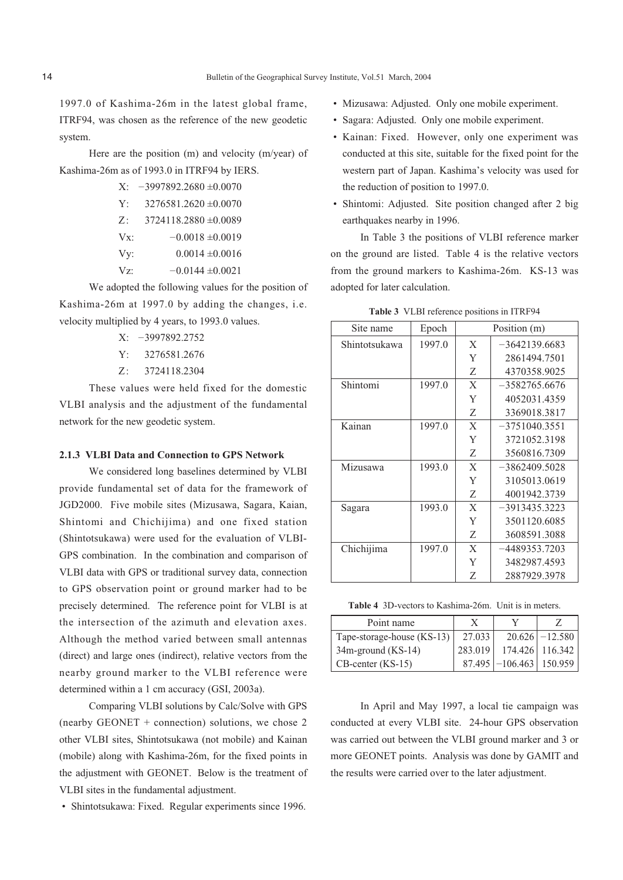1997.0 of Kashima-26m in the latest global frame, ITRF94, was chosen as the reference of the new geodetic system.

Here are the position (m) and velocity (m/year) of Kashima-26m as of 1993.0 in ITRF94 by IERS.

| $X^{\cdot}$ | $-3997892.2680 \pm 0.0070$ |
|-------------|----------------------------|
| Y:          | $3276581.2620 \pm 0.0070$  |
| $Z$ :       | $3724118.2880 \pm 0.0089$  |
| Vx          | $-0.0018 \pm 0.0019$       |
| Vy:         | $0.0014 \pm 0.0016$        |

 $Vz$ :  $-0.0144 \pm 0.0021$ 

We adopted the following values for the position of Kashima-26m at 1997.0 by adding the changes, i.e. velocity multiplied by 4 years, to 1993.0 values.

- X: –3997892.2752
- Y: 3276581.2676
- Z: 3724118.2304

These values were held fixed for the domestic VLBI analysis and the adjustment of the fundamental network for the new geodetic system.

#### **2.1.3 VLBI Data and Connection to GPS Network**

We considered long baselines determined by VLBI provide fundamental set of data for the framework of JGD2000. Five mobile sites (Mizusawa, Sagara, Kaian, Shintomi and Chichijima) and one fixed station (Shintotsukawa) were used for the evaluation of VLBI-GPS combination. In the combination and comparison of VLBI data with GPS or traditional survey data, connection to GPS observation point or ground marker had to be precisely determined. The reference point for VLBI is at the intersection of the azimuth and elevation axes. Although the method varied between small antennas (direct) and large ones (indirect), relative vectors from the nearby ground marker to the VLBI reference were determined within a 1 cm accuracy (GSI, 2003a).

Comparing VLBI solutions by Calc/Solve with GPS (nearby GEONET + connection) solutions, we chose 2 other VLBI sites, Shintotsukawa (not mobile) and Kainan (mobile) along with Kashima-26m, for the fixed points in the adjustment with GEONET. Below is the treatment of VLBI sites in the fundamental adjustment.

• Shintotsukawa: Fixed. Regular experiments since 1996.

- Mizusawa: Adjusted. Only one mobile experiment.
- Sagara: Adjusted. Only one mobile experiment.
- Kainan: Fixed. However, only one experiment was conducted at this site, suitable for the fixed point for the western part of Japan. Kashima's velocity was used for the reduction of position to 1997.0.
- Shintomi: Adjusted. Site position changed after 2 big earthquakes nearby in 1996.

In Table 3 the positions of VLBI reference marker on the ground are listed. Table 4 is the relative vectors from the ground markers to Kashima-26m. KS-13 was adopted for later calculation.

|  |  | Table 3 VLBI reference positions in ITRF94 |  |  |  |
|--|--|--------------------------------------------|--|--|--|
|--|--|--------------------------------------------|--|--|--|

| Site name     | Epoch  |              | Position (m)    |
|---------------|--------|--------------|-----------------|
| Shintotsukawa | 1997.0 | X            | $-3642139.6683$ |
|               |        | Y            | 2861494.7501    |
|               |        | Ζ            | 4370358.9025    |
| Shintomi      | 1997.0 | $\mathbf{X}$ | $-3582765.6676$ |
|               |        | Y            | 4052031.4359    |
|               |        | Z            | 3369018.3817    |
| Kainan        | 1997.0 | $\mathbf{X}$ | $-3751040.3551$ |
|               |        | Y            | 3721052.3198    |
|               |        | Ζ            | 3560816.7309    |
| Mizusawa      | 1993.0 | $\mathbf{X}$ | $-3862409.5028$ |
|               |        | Y            | 3105013.0619    |
|               |        | Z            | 4001942.3739    |
| Sagara        | 1993.0 | $\mathbf{X}$ | $-3913435.3223$ |
|               |        | Y            | 3501120.6085    |
|               |        | Z            | 3608591.3088    |
| Chichijima    | 1997.0 | $\mathbf{X}$ | -4489353.7203   |
|               |        | Y            | 3482987.4593    |
|               |        | Ζ            | 2887929.3978    |

**Table 4** 3D-vectors to Kashima-26m. Unit is in meters.

| Point name                 | X       |                           |                  |
|----------------------------|---------|---------------------------|------------------|
| Tape-storage-house (KS-13) | 27.033  |                           | $20.626$ –12.580 |
| $34m$ -ground (KS-14)      | 283.019 |                           | 174.426 116.342  |
| $CB$ -center (KS-15)       |         | $87.495$ -106.463 150.959 |                  |

In April and May 1997, a local tie campaign was conducted at every VLBI site. 24-hour GPS observation was carried out between the VLBI ground marker and 3 or more GEONET points. Analysis was done by GAMIT and the results were carried over to the later adjustment.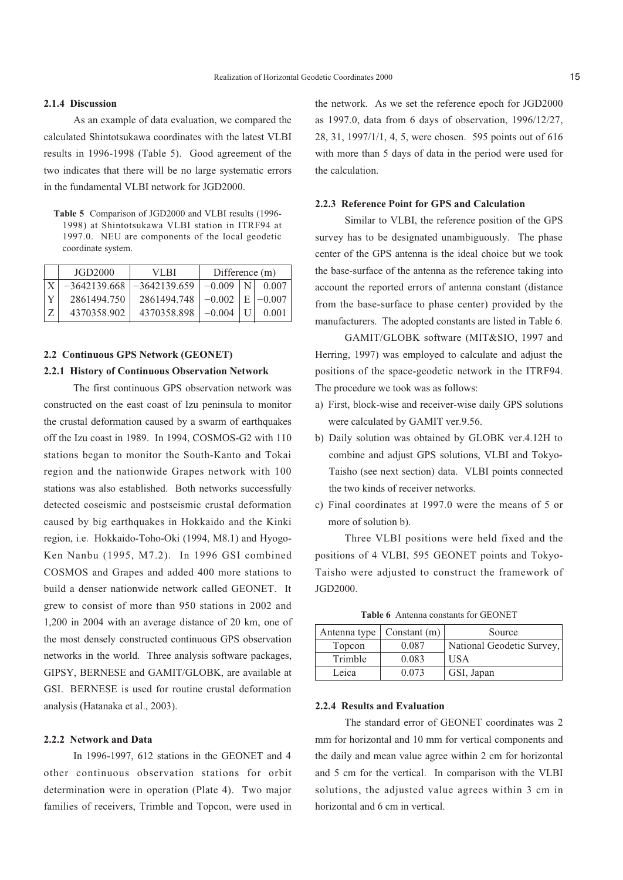#### **2.1.4 Discussion**

As an example of data evaluation, we compared the calculated Shintotsukawa coordinates with the latest VLBI results in 1996-1998 (Table 5). Good agreement of the two indicates that there will be no large systematic errors in the fundamental VLBI network for JGD2000.

**Table 5** Comparison of JGD2000 and VLBI results (1996- 1998) at Shintotsukawa VLBI station in ITRF94 at 1997.0. NEU are components of the local geodetic coordinate system.

| JGD2000        | VI BI          | Difference (m) |   |          |
|----------------|----------------|----------------|---|----------|
| $-3642139.668$ | $-3642139.659$ | $-0.009$       |   | 0.007    |
| 2861494.750    | 2861494.748    | $-0.002$       | E | $-0.007$ |
| 4370358.902    | 4370358.898    | $-0.004$       |   | 0.001    |

## **2.2 Continuous GPS Network (GEONET)**

#### **2.2.1 History of Continuous Observation Network**

The first continuous GPS observation network was constructed on the east coast of Izu peninsula to monitor the crustal deformation caused by a swarm of earthquakes off the Izu coast in 1989. In 1994, COSMOS-G2 with 110 stations began to monitor the South-Kanto and Tokai region and the nationwide Grapes network with 100 stations was also established. Both networks successfully detected coseismic and postseismic crustal deformation caused by big earthquakes in Hokkaido and the Kinki region, i.e. Hokkaido-Toho-Oki (1994, M8.1) and Hyogo-Ken Nanbu (1995, M7.2). In 1996 GSI combined COSMOS and Grapes and added 400 more stations to build a denser nationwide network called GEONET. It grew to consist of more than 950 stations in 2002 and 1,200 in 2004 with an average distance of 20 km, one of the most densely constructed continuous GPS observation networks in the world. Three analysis software packages, GIPSY, BERNESE and GAMIT/GLOBK, are available at GSI. BERNESE is used for routine crustal deformation analysis (Hatanaka et al., 2003).

### **2.2.2 Network and Data**

In 1996-1997, 612 stations in the GEONET and 4 other continuous observation stations for orbit determination were in operation (Plate 4). Two major families of receivers, Trimble and Topcon, were used in the network. As we set the reference epoch for JGD2000 as 1997.0, data from 6 days of observation, 1996/12/27, 28, 31, 1997/1/1, 4, 5, were chosen. 595 points out of 616 with more than 5 days of data in the period were used for the calculation.

### **2.2.3 Reference Point for GPS and Calculation**

Similar to VLBI, the reference position of the GPS survey has to be designated unambiguously. The phase center of the GPS antenna is the ideal choice but we took the base-surface of the antenna as the reference taking into account the reported errors of antenna constant (distance from the base-surface to phase center) provided by the manufacturers. The adopted constants are listed in Table 6.

GAMIT/GLOBK software (MIT&SIO, 1997 and Herring, 1997) was employed to calculate and adjust the positions of the space-geodetic network in the ITRF94. The procedure we took was as follows:

- a) First, block-wise and receiver-wise daily GPS solutions were calculated by GAMIT ver.9.56.
- b) Daily solution was obtained by GLOBK ver.4.12H to combine and adjust GPS solutions, VLBI and Tokyo-Taisho (see next section) data. VLBI points connected the two kinds of receiver networks.
- c) Final coordinates at 1997.0 were the means of 5 or more of solution b).

Three VLBI positions were held fixed and the positions of 4 VLBI, 595 GEONET points and Tokyo-Taisho were adjusted to construct the framework of JGD2000.

**Table 6** Antenna constants for GEONET

| Antenna type | Constant $(m)$ | Source                    |
|--------------|----------------|---------------------------|
| Topcon       | 0.087          | National Geodetic Survey, |
| Trimble      | 0.083          | <b>USA</b>                |
| Leica        | 0.073          | GSI, Japan                |

#### **2.2.4 Results and Evaluation**

The standard error of GEONET coordinates was 2 mm for horizontal and 10 mm for vertical components and the daily and mean value agree within 2 cm for horizontal and 5 cm for the vertical. In comparison with the VLBI solutions, the adjusted value agrees within 3 cm in horizontal and 6 cm in vertical.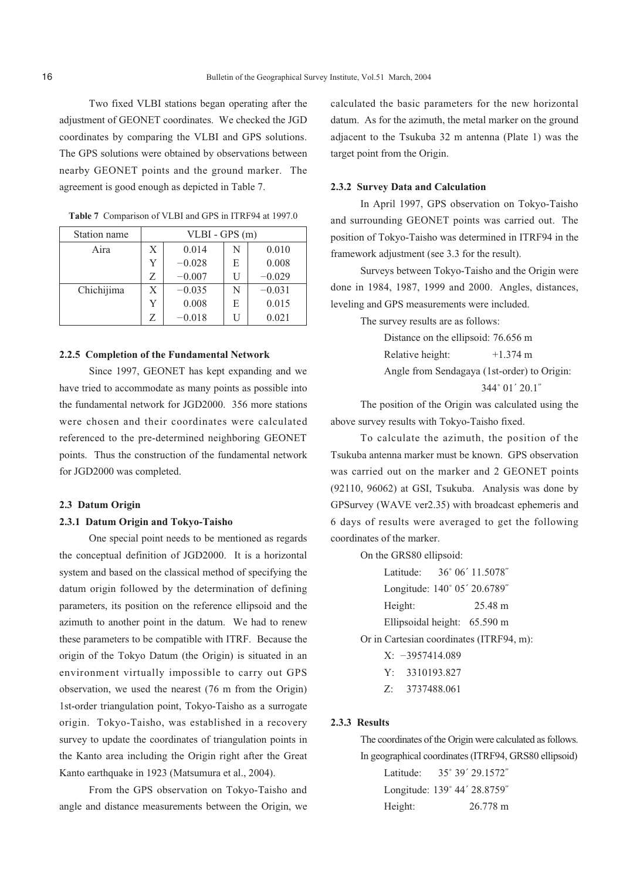Two fixed VLBI stations began operating after the adjustment of GEONET coordinates. We checked the JGD coordinates by comparing the VLBI and GPS solutions. The GPS solutions were obtained by observations between nearby GEONET points and the ground marker. The agreement is good enough as depicted in Table 7.

| Station name | VLBI - GPS (m) |          |   |          |
|--------------|----------------|----------|---|----------|
| Aira         | X              | 0.014    | N | 0.010    |
|              | Y              | $-0.028$ | E | 0.008    |
|              | Z              | $-0.007$ | H | $-0.029$ |
| Chichijima   | X              | $-0.035$ | N | $-0.031$ |
|              | Y              | 0.008    | E | 0.015    |
|              | Z              | $-0.018$ |   | 0.021    |

|  |  | <b>Table 7</b> Comparison of VLBI and GPS in ITRF94 at 1997.0 |  |  |  |
|--|--|---------------------------------------------------------------|--|--|--|
|--|--|---------------------------------------------------------------|--|--|--|

#### **2.2.5 Completion of the Fundamental Network**

Since 1997, GEONET has kept expanding and we have tried to accommodate as many points as possible into the fundamental network for JGD2000. 356 more stations were chosen and their coordinates were calculated referenced to the pre-determined neighboring GEONET points. Thus the construction of the fundamental network for JGD2000 was completed.

## **2.3 Datum Origin**

#### **2.3.1 Datum Origin and Tokyo-Taisho**

One special point needs to be mentioned as regards the conceptual definition of JGD2000. It is a horizontal system and based on the classical method of specifying the datum origin followed by the determination of defining parameters, its position on the reference ellipsoid and the azimuth to another point in the datum. We had to renew these parameters to be compatible with ITRF. Because the origin of the Tokyo Datum (the Origin) is situated in an environment virtually impossible to carry out GPS observation, we used the nearest (76 m from the Origin) 1st-order triangulation point, Tokyo-Taisho as a surrogate origin. Tokyo-Taisho, was established in a recovery survey to update the coordinates of triangulation points in the Kanto area including the Origin right after the Great Kanto earthquake in 1923 (Matsumura et al., 2004).

From the GPS observation on Tokyo-Taisho and angle and distance measurements between the Origin, we calculated the basic parameters for the new horizontal datum. As for the azimuth, the metal marker on the ground adjacent to the Tsukuba 32 m antenna (Plate 1) was the target point from the Origin.

#### **2.3.2 Survey Data and Calculation**

In April 1997, GPS observation on Tokyo-Taisho and surrounding GEONET points was carried out. The position of Tokyo-Taisho was determined in ITRF94 in the framework adjustment (see 3.3 for the result).

Surveys between Tokyo-Taisho and the Origin were done in 1984, 1987, 1999 and 2000. Angles, distances, leveling and GPS measurements were included.

The survey results are as follows:

Distance on the ellipsoid: 76.656 m Relative height: +1.374 m Angle from Sendagaya (1st-order) to Origin: 344˚ 01´ 20.1˝

The position of the Origin was calculated using the above survey results with Tokyo-Taisho fixed.

To calculate the azimuth, the position of the Tsukuba antenna marker must be known. GPS observation was carried out on the marker and 2 GEONET points (92110, 96062) at GSI, Tsukuba. Analysis was done by GPSurvey (WAVE ver2.35) with broadcast ephemeris and 6 days of results were averaged to get the following coordinates of the marker.

On the GRS80 ellipsoid:

Latitude: 36˚ 06´ 11.5078˝ Longitude: 140˚ 05´ 20.6789˝ Height: 25.48 m Ellipsoidal height: 65.590 m

Or in Cartesian coordinates (ITRF94, m):

- X: –3957414.089
- Y: 3310193.827
- Z: 3737488.061

#### **2.3.3 Results**

The coordinates of the Origin were calculated as follows. In geographical coordinates (ITRF94, GRS80 ellipsoid)

| Latitude: | 35° 39′ 29.1572″             |
|-----------|------------------------------|
|           | Longitude: 139° 44' 28.8759" |
| Height:   | 26.778 m                     |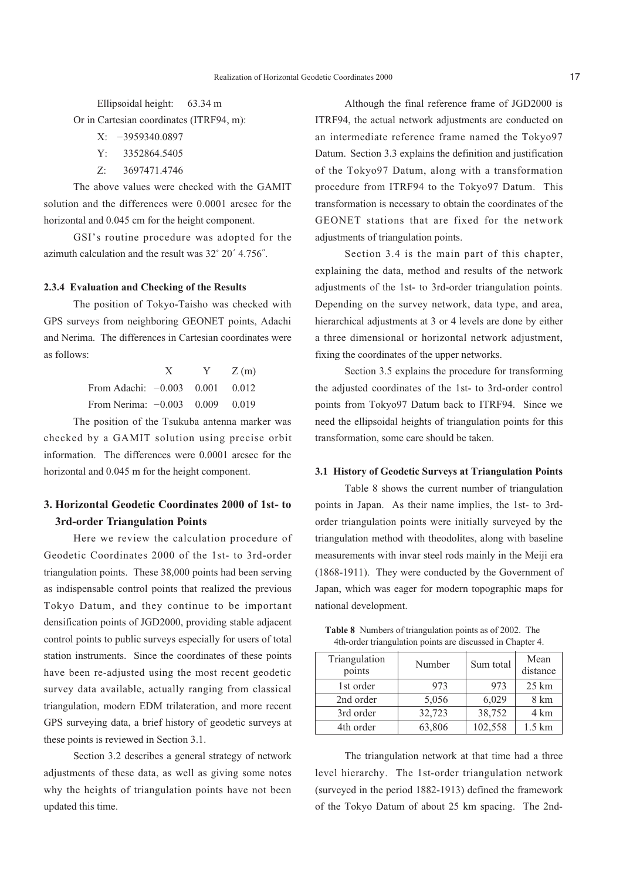Ellipsoidal height: 63.34 m

Or in Cartesian coordinates (ITRF94, m):

- X: –3959340.0897
- Y: 3352864.5405
- Z: 3697471.4746

The above values were checked with the GAMIT solution and the differences were 0.0001 arcsec for the horizontal and 0.045 cm for the height component.

GSI's routine procedure was adopted for the azimuth calculation and the result was 32˚ 20´ 4.756˝.

### **2.3.4 Evaluation and Checking of the Results**

The position of Tokyo-Taisho was checked with GPS surveys from neighboring GEONET points, Adachi and Nerima. The differences in Cartesian coordinates were as follows:

|                                   | X | $Y = Z(m)$ |
|-----------------------------------|---|------------|
| From Adachi: $-0.003$ 0.001 0.012 |   |            |
| From Nerima: $-0.003$ 0.009 0.019 |   |            |

The position of the Tsukuba antenna marker was checked by a GAMIT solution using precise orbit information. The differences were 0.0001 arcsec for the horizontal and 0.045 m for the height component.

# **3. Horizontal Geodetic Coordinates 2000 of 1st- to 3rd-order Triangulation Points**

Here we review the calculation procedure of Geodetic Coordinates 2000 of the 1st- to 3rd-order triangulation points. These 38,000 points had been serving as indispensable control points that realized the previous Tokyo Datum, and they continue to be important densification points of JGD2000, providing stable adjacent control points to public surveys especially for users of total station instruments. Since the coordinates of these points have been re-adjusted using the most recent geodetic survey data available, actually ranging from classical triangulation, modern EDM trilateration, and more recent GPS surveying data, a brief history of geodetic surveys at these points is reviewed in Section 3.1.

Section 3.2 describes a general strategy of network adjustments of these data, as well as giving some notes why the heights of triangulation points have not been updated this time.

Although the final reference frame of JGD2000 is ITRF94, the actual network adjustments are conducted on an intermediate reference frame named the Tokyo97 Datum. Section 3.3 explains the definition and justification of the Tokyo97 Datum, along with a transformation procedure from ITRF94 to the Tokyo97 Datum. This transformation is necessary to obtain the coordinates of the GEONET stations that are fixed for the network adjustments of triangulation points.

Section 3.4 is the main part of this chapter, explaining the data, method and results of the network adjustments of the 1st- to 3rd-order triangulation points. Depending on the survey network, data type, and area, hierarchical adjustments at 3 or 4 levels are done by either a three dimensional or horizontal network adjustment, fixing the coordinates of the upper networks.

Section 3.5 explains the procedure for transforming the adjusted coordinates of the 1st- to 3rd-order control points from Tokyo97 Datum back to ITRF94. Since we need the ellipsoidal heights of triangulation points for this transformation, some care should be taken.

#### **3.1 History of Geodetic Surveys at Triangulation Points**

Table 8 shows the current number of triangulation points in Japan. As their name implies, the 1st- to 3rdorder triangulation points were initially surveyed by the triangulation method with theodolites, along with baseline measurements with invar steel rods mainly in the Meiji era (1868-1911). They were conducted by the Government of Japan, which was eager for modern topographic maps for national development.

**Table 8** Numbers of triangulation points as of 2002. The 4th-order triangulation points are discussed in Chapter 4.

| Triangulation<br>points | Number | Mean<br>Sum total<br>distance |                   |
|-------------------------|--------|-------------------------------|-------------------|
| 1st order               | 973    | 973                           | $25 \mathrm{km}$  |
| 2nd order               | 5,056  | 6,029                         | 8 km              |
| 3rd order               | 32,723 | 38,752                        | 4 km              |
| 4th order               | 63,806 | 102,558                       | $1.5 \mathrm{km}$ |

The triangulation network at that time had a three level hierarchy. The 1st-order triangulation network (surveyed in the period 1882-1913) defined the framework of the Tokyo Datum of about 25 km spacing. The 2nd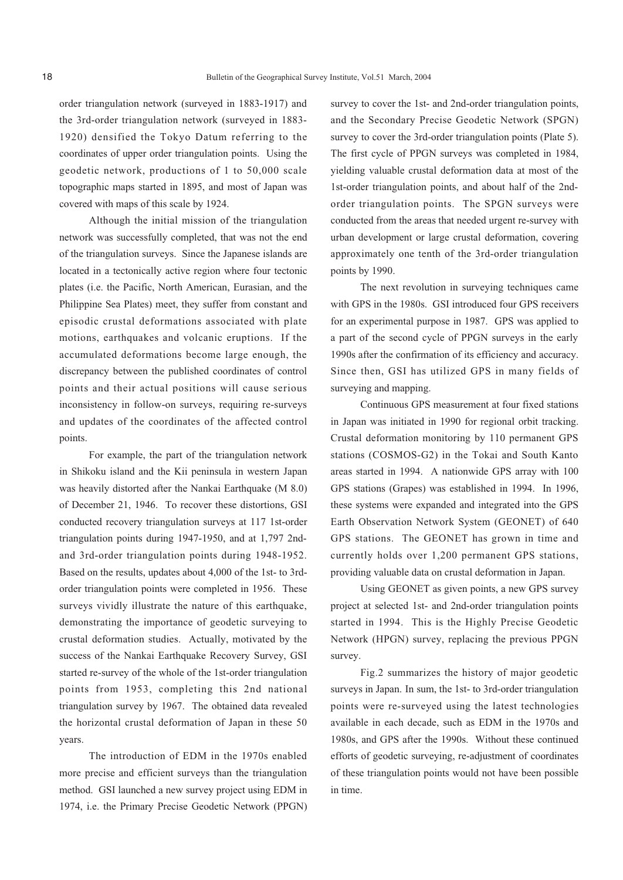order triangulation network (surveyed in 1883-1917) and the 3rd-order triangulation network (surveyed in 1883- 1920) densified the Tokyo Datum referring to the coordinates of upper order triangulation points. Using the geodetic network, productions of 1 to 50,000 scale topographic maps started in 1895, and most of Japan was covered with maps of this scale by 1924.

Although the initial mission of the triangulation network was successfully completed, that was not the end of the triangulation surveys. Since the Japanese islands are located in a tectonically active region where four tectonic plates (i.e. the Pacific, North American, Eurasian, and the Philippine Sea Plates) meet, they suffer from constant and episodic crustal deformations associated with plate motions, earthquakes and volcanic eruptions. If the accumulated deformations become large enough, the discrepancy between the published coordinates of control points and their actual positions will cause serious inconsistency in follow-on surveys, requiring re-surveys and updates of the coordinates of the affected control points.

For example, the part of the triangulation network in Shikoku island and the Kii peninsula in western Japan was heavily distorted after the Nankai Earthquake (M 8.0) of December 21, 1946. To recover these distortions, GSI conducted recovery triangulation surveys at 117 1st-order triangulation points during 1947-1950, and at 1,797 2ndand 3rd-order triangulation points during 1948-1952. Based on the results, updates about 4,000 of the 1st- to 3rdorder triangulation points were completed in 1956. These surveys vividly illustrate the nature of this earthquake, demonstrating the importance of geodetic surveying to crustal deformation studies. Actually, motivated by the success of the Nankai Earthquake Recovery Survey, GSI started re-survey of the whole of the 1st-order triangulation points from 1953, completing this 2nd national triangulation survey by 1967. The obtained data revealed the horizontal crustal deformation of Japan in these 50 years.

The introduction of EDM in the 1970s enabled more precise and efficient surveys than the triangulation method. GSI launched a new survey project using EDM in 1974, i.e. the Primary Precise Geodetic Network (PPGN) survey to cover the 1st- and 2nd-order triangulation points, and the Secondary Precise Geodetic Network (SPGN) survey to cover the 3rd-order triangulation points (Plate 5). The first cycle of PPGN surveys was completed in 1984, yielding valuable crustal deformation data at most of the 1st-order triangulation points, and about half of the 2ndorder triangulation points. The SPGN surveys were conducted from the areas that needed urgent re-survey with urban development or large crustal deformation, covering approximately one tenth of the 3rd-order triangulation points by 1990.

The next revolution in surveying techniques came with GPS in the 1980s. GSI introduced four GPS receivers for an experimental purpose in 1987. GPS was applied to a part of the second cycle of PPGN surveys in the early 1990s after the confirmation of its efficiency and accuracy. Since then, GSI has utilized GPS in many fields of surveying and mapping.

Continuous GPS measurement at four fixed stations in Japan was initiated in 1990 for regional orbit tracking. Crustal deformation monitoring by 110 permanent GPS stations (COSMOS-G2) in the Tokai and South Kanto areas started in 1994. A nationwide GPS array with 100 GPS stations (Grapes) was established in 1994. In 1996, these systems were expanded and integrated into the GPS Earth Observation Network System (GEONET) of 640 GPS stations. The GEONET has grown in time and currently holds over 1,200 permanent GPS stations, providing valuable data on crustal deformation in Japan.

Using GEONET as given points, a new GPS survey project at selected 1st- and 2nd-order triangulation points started in 1994. This is the Highly Precise Geodetic Network (HPGN) survey, replacing the previous PPGN survey.

Fig.2 summarizes the history of major geodetic surveys in Japan. In sum, the 1st- to 3rd-order triangulation points were re-surveyed using the latest technologies available in each decade, such as EDM in the 1970s and 1980s, and GPS after the 1990s. Without these continued efforts of geodetic surveying, re-adjustment of coordinates of these triangulation points would not have been possible in time.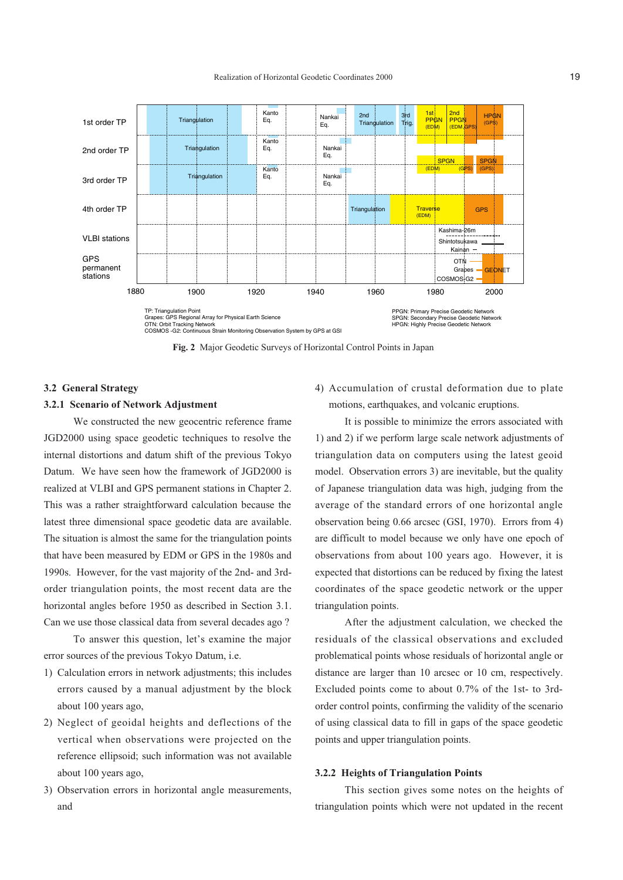

**Fig. 2** Major Geodetic Surveys of Horizontal Control Points in Japan

#### **3.2 General Strategy**

#### **3.2.1 Scenario of Network Adjustment**

We constructed the new geocentric reference frame JGD2000 using space geodetic techniques to resolve the internal distortions and datum shift of the previous Tokyo Datum. We have seen how the framework of JGD2000 is realized at VLBI and GPS permanent stations in Chapter 2. This was a rather straightforward calculation because the latest three dimensional space geodetic data are available. The situation is almost the same for the triangulation points that have been measured by EDM or GPS in the 1980s and 1990s. However, for the vast majority of the 2nd- and 3rdorder triangulation points, the most recent data are the horizontal angles before 1950 as described in Section 3.1. Can we use those classical data from several decades ago ?

To answer this question, let's examine the major error sources of the previous Tokyo Datum, i.e.

- 1) Calculation errors in network adjustments; this includes errors caused by a manual adjustment by the block about 100 years ago,
- 2) Neglect of geoidal heights and deflections of the vertical when observations were projected on the reference ellipsoid; such information was not available about 100 years ago,
- 3) Observation errors in horizontal angle measurements, and

4) Accumulation of crustal deformation due to plate motions, earthquakes, and volcanic eruptions.

It is possible to minimize the errors associated with 1) and 2) if we perform large scale network adjustments of triangulation data on computers using the latest geoid model. Observation errors 3) are inevitable, but the quality of Japanese triangulation data was high, judging from the average of the standard errors of one horizontal angle observation being 0.66 arcsec (GSI, 1970). Errors from 4) are difficult to model because we only have one epoch of observations from about 100 years ago. However, it is expected that distortions can be reduced by fixing the latest coordinates of the space geodetic network or the upper triangulation points.

After the adjustment calculation, we checked the residuals of the classical observations and excluded problematical points whose residuals of horizontal angle or distance are larger than 10 arcsec or 10 cm, respectively. Excluded points come to about 0.7% of the 1st- to 3rdorder control points, confirming the validity of the scenario of using classical data to fill in gaps of the space geodetic points and upper triangulation points.

## **3.2.2 Heights of Triangulation Points**

This section gives some notes on the heights of triangulation points which were not updated in the recent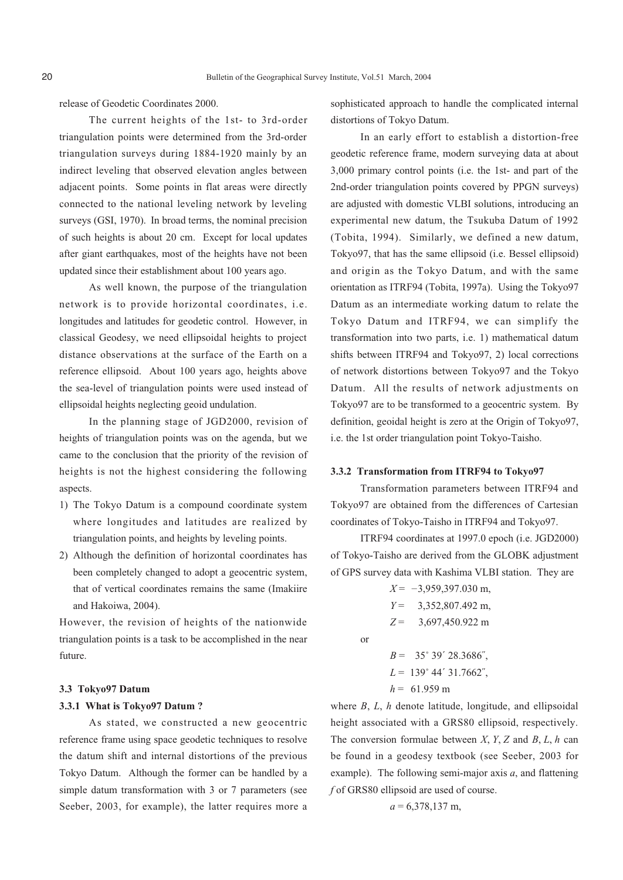release of Geodetic Coordinates 2000.

The current heights of the 1st- to 3rd-order triangulation points were determined from the 3rd-order triangulation surveys during 1884-1920 mainly by an indirect leveling that observed elevation angles between adjacent points. Some points in flat areas were directly connected to the national leveling network by leveling surveys (GSI, 1970). In broad terms, the nominal precision of such heights is about 20 cm. Except for local updates after giant earthquakes, most of the heights have not been updated since their establishment about 100 years ago.

As well known, the purpose of the triangulation network is to provide horizontal coordinates, i.e. longitudes and latitudes for geodetic control. However, in classical Geodesy, we need ellipsoidal heights to project distance observations at the surface of the Earth on a reference ellipsoid. About 100 years ago, heights above the sea-level of triangulation points were used instead of ellipsoidal heights neglecting geoid undulation.

In the planning stage of JGD2000, revision of heights of triangulation points was on the agenda, but we came to the conclusion that the priority of the revision of heights is not the highest considering the following aspects.

- 1) The Tokyo Datum is a compound coordinate system where longitudes and latitudes are realized by triangulation points, and heights by leveling points.
- 2) Although the definition of horizontal coordinates has been completely changed to adopt a geocentric system, that of vertical coordinates remains the same (Imakiire and Hakoiwa, 2004).

However, the revision of heights of the nationwide triangulation points is a task to be accomplished in the near future.

#### **3.3 Tokyo97 Datum**

#### **3.3.1 What is Tokyo97 Datum ?**

As stated, we constructed a new geocentric reference frame using space geodetic techniques to resolve the datum shift and internal distortions of the previous Tokyo Datum. Although the former can be handled by a simple datum transformation with 3 or 7 parameters (see Seeber, 2003, for example), the latter requires more a

sophisticated approach to handle the complicated internal distortions of Tokyo Datum.

In an early effort to establish a distortion-free geodetic reference frame, modern surveying data at about 3,000 primary control points (i.e. the 1st- and part of the 2nd-order triangulation points covered by PPGN surveys) are adjusted with domestic VLBI solutions, introducing an experimental new datum, the Tsukuba Datum of 1992 (Tobita, 1994). Similarly, we defined a new datum, Tokyo97, that has the same ellipsoid (i.e. Bessel ellipsoid) and origin as the Tokyo Datum, and with the same orientation as ITRF94 (Tobita, 1997a). Using the Tokyo97 Datum as an intermediate working datum to relate the Tokyo Datum and ITRF94, we can simplify the transformation into two parts, i.e. 1) mathematical datum shifts between ITRF94 and Tokyo97, 2) local corrections of network distortions between Tokyo97 and the Tokyo Datum. All the results of network adjustments on Tokyo97 are to be transformed to a geocentric system. By definition, geoidal height is zero at the Origin of Tokyo97, i.e. the 1st order triangulation point Tokyo-Taisho.

#### **3.3.2 Transformation from ITRF94 to Tokyo97**

Transformation parameters between ITRF94 and Tokyo97 are obtained from the differences of Cartesian coordinates of Tokyo-Taisho in ITRF94 and Tokyo97.

ITRF94 coordinates at 1997.0 epoch (i.e. JGD2000) of Tokyo-Taisho are derived from the GLOBK adjustment of GPS survey data with Kashima VLBI station. They are

> $X = -3.959397.030$  m, *Y* = 3,352,807.492 m, *Z* = 3,697,450.922 m  $B = 35^{\circ} 39' 28.3686''$ , *L* = 139˚ 44´ 31.7662˝,  $h = 61.959 \text{ m}$

or

where *B*, *L*, *h* denote latitude, longitude, and ellipsoidal height associated with a GRS80 ellipsoid, respectively. The conversion formulae between *X*, *Y*, *Z* and *B*, *L*, *h* can be found in a geodesy textbook (see Seeber, 2003 for example). The following semi-major axis *a*, and flattening *f* of GRS80 ellipsoid are used of course.

$$
a = 6,378,137
$$
 m,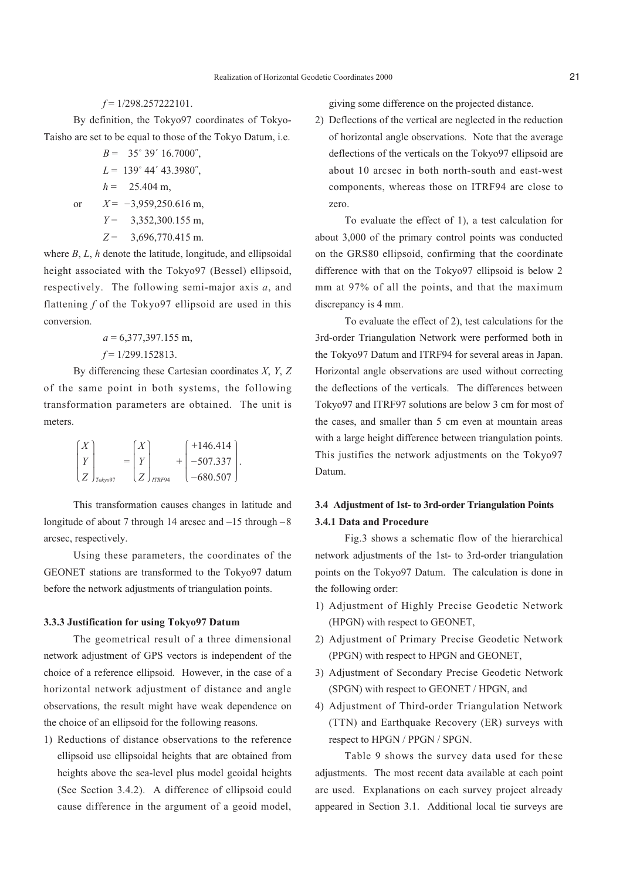#### *f* = 1/298.257222101.

By definition, the Tokyo97 coordinates of Tokyo-Taisho are set to be equal to those of the Tokyo Datum, i.e.

- $B = 35^{\circ} 39' 16.7000''$ ,
- *L* = 139˚ 44´ 43.3980˝,

$$
h = 25.404 \text{ m},
$$

- or  $X = -3,959,250.616$  m,
	- *Y* = 3,352,300.155 m,
	- *Z* = 3,696,770.415 m.

where *B*, *L*, *h* denote the latitude, longitude, and ellipsoidal height associated with the Tokyo97 (Bessel) ellipsoid, respectively. The following semi-major axis *a*, and flattening *f* of the Tokyo97 ellipsoid are used in this conversion.

$$
a = 6,377,397.155 \text{ m},
$$
  

$$
f = 1/299.152813.
$$

By differencing these Cartesian coordinates *X*, *Y*, *Z* of the same point in both systems, the following transformation parameters are obtained. The unit is meters.

|  |                 |     |        | $+146.414$    |  |
|--|-----------------|-----|--------|---------------|--|
|  |                 | $=$ |        | $-507.337$  . |  |
|  | $(Z)_{Tokyo97}$ |     | ITRF94 | $-680.507$    |  |

This transformation causes changes in latitude and longitude of about 7 through 14 arcsec and –15 through –8 arcsec, respectively.

Using these parameters, the coordinates of the GEONET stations are transformed to the Tokyo97 datum before the network adjustments of triangulation points.

## **3.3.3 Justification for using Tokyo97 Datum**

The geometrical result of a three dimensional network adjustment of GPS vectors is independent of the choice of a reference ellipsoid. However, in the case of a horizontal network adjustment of distance and angle observations, the result might have weak dependence on the choice of an ellipsoid for the following reasons.

1) Reductions of distance observations to the reference ellipsoid use ellipsoidal heights that are obtained from heights above the sea-level plus model geoidal heights (See Section 3.4.2). A difference of ellipsoid could cause difference in the argument of a geoid model,

giving some difference on the projected distance.

2) Deflections of the vertical are neglected in the reduction of horizontal angle observations. Note that the average deflections of the verticals on the Tokyo97 ellipsoid are about 10 arcsec in both north-south and east-west components, whereas those on ITRF94 are close to zero.

To evaluate the effect of 1), a test calculation for about 3,000 of the primary control points was conducted on the GRS80 ellipsoid, confirming that the coordinate difference with that on the Tokyo97 ellipsoid is below 2 mm at 97% of all the points, and that the maximum discrepancy is 4 mm.

To evaluate the effect of 2), test calculations for the 3rd-order Triangulation Network were performed both in the Tokyo97 Datum and ITRF94 for several areas in Japan. Horizontal angle observations are used without correcting the deflections of the verticals. The differences between Tokyo97 and ITRF97 solutions are below 3 cm for most of the cases, and smaller than 5 cm even at mountain areas with a large height difference between triangulation points. This justifies the network adjustments on the Tokyo97 Datum.

# **3.4 Adjustment of 1st- to 3rd-order Triangulation Points 3.4.1 Data and Procedure**

Fig.3 shows a schematic flow of the hierarchical network adjustments of the 1st- to 3rd-order triangulation points on the Tokyo97 Datum. The calculation is done in the following order:

- 1) Adjustment of Highly Precise Geodetic Network (HPGN) with respect to GEONET,
- 2) Adjustment of Primary Precise Geodetic Network (PPGN) with respect to HPGN and GEONET,
- 3) Adjustment of Secondary Precise Geodetic Network (SPGN) with respect to GEONET / HPGN, and
- 4) Adjustment of Third-order Triangulation Network (TTN) and Earthquake Recovery (ER) surveys with respect to HPGN / PPGN / SPGN.

Table 9 shows the survey data used for these adjustments. The most recent data available at each point are used. Explanations on each survey project already appeared in Section 3.1. Additional local tie surveys are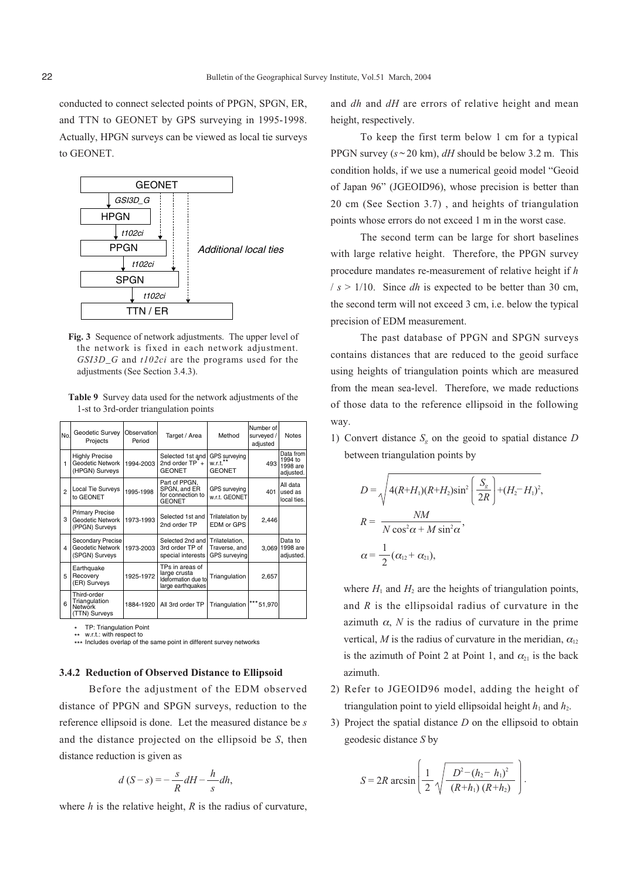conducted to connect selected points of PPGN, SPGN, ER, and TTN to GEONET by GPS surveying in 1995-1998. Actually, HPGN surveys can be viewed as local tie surveys to GEONET.



**Fig. 3** Sequence of network adjustments. The upper level of the network is fixed in each network adjustment. *GSI3D\_G* and *t102ci* are the programs used for the adjustments (See Section 3.4.3).

**Table 9** Survey data used for the network adjustments of the 1-st to 3rd-order triangulation points

| No.            | Geodetic Survey<br>Projects                                  | Observation<br>Period | Target / Area                                                               | Method                                           | Number of<br>surveyed /<br>adjusted | <b>Notes</b>                                  |
|----------------|--------------------------------------------------------------|-----------------------|-----------------------------------------------------------------------------|--------------------------------------------------|-------------------------------------|-----------------------------------------------|
| 1              | <b>Highly Precise</b><br>Geodetic Network<br>(HPGN) Surveys  | 1994-2003             | Selected 1st and<br>2nd order $TP^+$<br><b>GEONET</b>                       | GPS surveying<br>$w.r.t.***$<br><b>GEONET</b>    | 493                                 | Data from<br>1994 to<br>1998 are<br>adjusted. |
| $\overline{2}$ | Local Tie Surveys<br>to GEONET                               | 1995-1998             | Part of PPGN.<br>SPGN, and ER<br>for connection to<br><b>GEONET</b>         | GPS surveying<br>w.r.t. GEONET                   | 401                                 | All data<br>used as<br>local ties.            |
| 3              | <b>Primary Precise</b><br>Geodetic Network<br>(PPGN) Surveys | 1973-1993             | Selected 1st and<br>2nd order TP                                            | Trilatelation by<br>EDM or GPS                   | 2,446                               |                                               |
| 4              | Secondary Precise<br>Geodetic Network<br>(SPGN) Surveys      | 1973-2003             | Selected 2nd and<br>3rd order TP of<br>special interests                    | Trilatelation,<br>Traverse, and<br>GPS surveying |                                     | Data to<br>3,069 1998 are<br>adjusted.        |
| 5              | Earthquake<br>Recovery<br>(ER) Surveys                       | 1925-1972             | TPs in areas of<br>large crusta<br>Ideformation due to<br>large earthquakes | Triangulation                                    | 2,657                               |                                               |
| 6              | Third-order<br>Triangulation<br>Network<br>(TTN) Surveys     | 1884-1920             | All 3rd order TP                                                            | Triangulation                                    | *** 51,970                          |                                               |

TP: Triangulation Point w.r.t.: with respect to \*

\*\* w.r.t.: with respect to<br>\*\*\* Includes overlap of the same point in different survey networks

### **3.4.2 Reduction of Observed Distance to Ellipsoid**

Before the adjustment of the EDM observed distance of PPGN and SPGN surveys, reduction to the reference ellipsoid is done. Let the measured distance be *s* and the distance projected on the ellipsoid be *S*, then distance reduction is given as

$$
d(S - s) = -\frac{s}{R}dH - \frac{h}{s}dh,
$$

where *h* is the relative height, *R* is the radius of curvature,

and *dh* and *dH* are errors of relative height and mean height, respectively.

To keep the first term below 1 cm for a typical PPGN survey  $(s \sim 20 \text{ km})$ , *dH* should be below 3.2 m. This condition holds, if we use a numerical geoid model "Geoid of Japan 96" (JGEOID96), whose precision is better than 20 cm (See Section 3.7) , and heights of triangulation points whose errors do not exceed 1 m in the worst case.

The second term can be large for short baselines with large relative height. Therefore, the PPGN survey procedure mandates re-measurement of relative height if *h*  $/s > 1/10$ . Since *dh* is expected to be better than 30 cm, the second term will not exceed 3 cm, i.e. below the typical precision of EDM measurement.

The past database of PPGN and SPGN surveys contains distances that are reduced to the geoid surface using heights of triangulation points which are measured from the mean sea-level. Therefore, we made reductions of those data to the reference ellipsoid in the following way.

1) Convert distance  $S_g$  on the geoid to spatial distance  $D$ between triangulation points by

$$
D = \sqrt{4(R+H_1)(R+H_2)\sin^2\left(\frac{S_g}{2R}\right)+(H_2-H_1)^2},
$$
  
\n
$$
R = \frac{NM}{N\cos^2\alpha + M\sin^2\alpha},
$$
  
\n
$$
\alpha = \frac{1}{2}(\alpha_{12} + \alpha_{21}),
$$

where  $H_1$  and  $H_2$  are the heights of triangulation points, and *R* is the ellipsoidal radius of curvature in the azimuth  $\alpha$ , *N* is the radius of curvature in the prime vertical, *M* is the radius of curvature in the meridian,  $\alpha_{12}$ is the azimuth of Point 2 at Point 1, and  $\alpha_{21}$  is the back azimuth.

- 2) Refer to JGEOID96 model, adding the height of triangulation point to yield ellipsoidal height  $h_1$  and  $h_2$ .
- 3) Project the spatial distance *D* on the ellipsoid to obtain geodesic distance *S* by

$$
S = 2R \arcsin \left( \frac{1}{2} \sqrt{\frac{D^2 - (h_2 - h_1)^2}{(R + h_1) (R + h_2)}} \right).
$$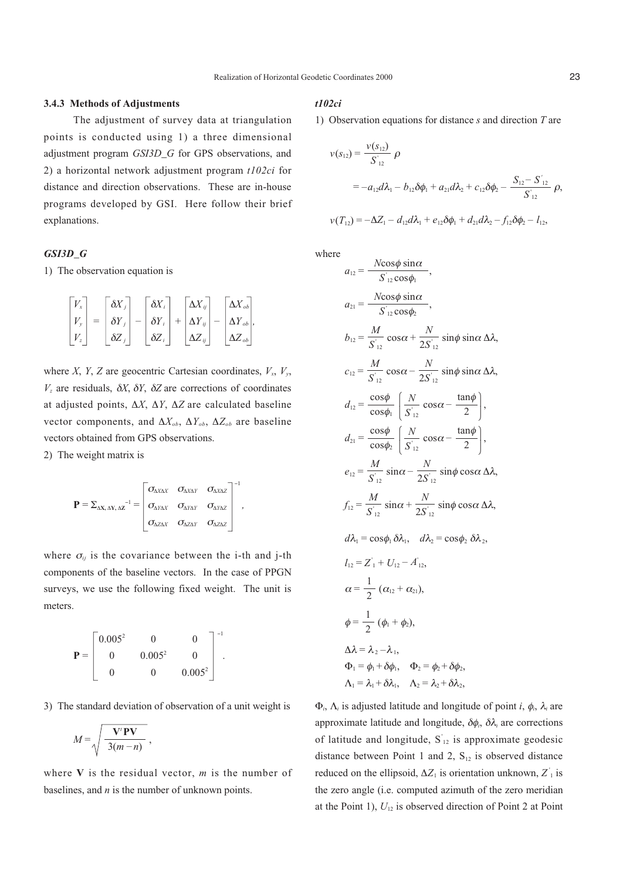#### **3.4.3 Methods of Adjustments**

The adjustment of survey data at triangulation points is conducted using 1) a three dimensional adjustment program *GSI3D\_G* for GPS observations, and 2) a horizontal network adjustment program *t102ci* for distance and direction observations. These are in-house programs developed by GSI. Here follow their brief explanations.

## *GSI3D\_G*

1) The observation equation is

$$
\begin{bmatrix} V_x \\ V_y \\ V_z \end{bmatrix} = \begin{bmatrix} \delta X_j \\ \delta Y_j \\ \delta Z_j \end{bmatrix} - \begin{bmatrix} \delta X_i \\ \delta Y_i \\ \delta Z_i \end{bmatrix} + \begin{bmatrix} \Delta X_{ij} \\ \Delta Y_{ij} \\ \Delta Z_{ij} \end{bmatrix} - \begin{bmatrix} \Delta X_{ob} \\ \Delta Y_{ob} \\ \Delta Z_{ob} \end{bmatrix},
$$

where *X*, *Y*, *Z* are geocentric Cartesian coordinates,  $V_x$ ,  $V_y$ , *Vz* are residuals, δ*X*, δ*Y*, δ*Z* are corrections of coordinates at adjusted points, ∆*X*, ∆*Y*, ∆*Z* are calculated baseline vector components, and ∆*Xob*, ∆*Yob*, ∆*Zob* are baseline vectors obtained from GPS observations.

2) The weight matrix is

$$
\mathbf{P} = \Sigma_{\Delta X, \Delta Y, \Delta Z}^{-1} = \begin{bmatrix} \sigma_{\Delta X \Delta X} & \sigma_{\Delta X \Delta Y} & \sigma_{\Delta X \Delta Z} \\ \sigma_{\Delta Y \Delta Y} & \sigma_{\Delta Y \Delta Y} & \sigma_{\Delta Y \Delta Z} \\ \sigma_{\Delta Z \Delta X} & \sigma_{\Delta Z \Delta Y} & \sigma_{\Delta Z \Delta Z} \end{bmatrix}^{-1},
$$

where  $\sigma_{ij}$  is the covariance between the i-th and j-th components of the baseline vectors. In the case of PPGN surveys, we use the following fixed weight. The unit is meters.

$$
\mathbf{P} = \begin{bmatrix} 0.005^2 & 0 & 0 \\ 0 & 0.005^2 & 0 \\ 0 & 0 & 0.005^2 \end{bmatrix}^{-1}.
$$

3) The standard deviation of observation of a unit weight is

$$
M = \sqrt{\frac{V'PV}{3(m-n)}}\,
$$

where **V** is the residual vector, *m* is the number of baselines, and *n* is the number of unknown points.

## *t102ci*

1) Observation equations for distance *s* and direction *T* are

$$
\nu(s_{12}) = \frac{\nu(s_{12})}{S'_{12}} \rho
$$
  
=  $-a_{12}d\lambda_1 - b_{12}\delta\phi_1 + a_{21}d\lambda_2 + c_{12}\delta\phi_2 - \frac{S_{12} - S'_{12}}{S'_{12}} \rho$ ,  

$$
\nu(T_{12}) = -\Delta Z_1 - d_{12}d\lambda_1 + e_{12}\delta\phi_1 + d_{21}d\lambda_2 - f_{12}\delta\phi_2 - I_{12},
$$

where

$$
a_{12} = \frac{N\cos\phi \sin\alpha}{S'_{12}\cos\phi_1},
$$
  
\n
$$
a_{21} = \frac{N\cos\phi \sin\alpha}{S'_{12}\cos\phi_2},
$$
  
\n
$$
b_{12} = \frac{M}{S'_{12}}\cos\alpha + \frac{N}{2S'_{12}}\sin\phi \sin\alpha \Delta\lambda,
$$
  
\n
$$
c_{12} = \frac{M}{S'_{12}}\cos\alpha - \frac{N}{2S'_{12}}\sin\phi \sin\alpha \Delta\lambda,
$$
  
\n
$$
d_{12} = \frac{\cos\phi}{\cos\phi_1} \left(\frac{N}{S'_{12}}\cos\alpha - \frac{\tan\phi}{2}\right),
$$
  
\n
$$
d_{21} = \frac{\cos\phi}{\cos\phi_2} \left(\frac{N}{S'_{12}}\cos\alpha - \frac{\tan\phi}{2}\right),
$$
  
\n
$$
e_{12} = \frac{M}{S'_{12}}\sin\alpha - \frac{N}{2S'_{12}}\sin\phi \cos\alpha \Delta\lambda,
$$
  
\n
$$
f_{12} = \frac{M}{S'_{12}}\sin\alpha + \frac{N}{2S'_{12}}\sin\phi \cos\alpha \Delta\lambda,
$$
  
\n
$$
d\lambda_1 = \cos\phi_1 \delta\lambda_1, \quad d\lambda_2 = \cos\phi_2 \delta\lambda_2,
$$
  
\n
$$
l_{12} = Z'_1 + U_{12} - A'_{12},
$$
  
\n
$$
\alpha = \frac{1}{2} (\alpha_{12} + \alpha_{21}),
$$
  
\n
$$
\phi = \frac{1}{2} (\phi_1 + \phi_2),
$$
  
\n
$$
\Delta\lambda = \lambda_2 - \lambda_1,
$$
  
\n
$$
\Phi_1 = \phi_1 + \delta\phi_1, \quad \Phi_2 = \phi_2 + \delta\phi_2,
$$
  
\n
$$
\Delta_1 = \lambda_1 + \delta\lambda_1, \quad \Delta_2 = \lambda_2 + \delta\lambda_2,
$$

Φ*i*, Λ*<sup>i</sup>* is adjusted latitude and longitude of point *i*, φ*i*, λ*<sup>i</sup>* are approximate latitude and longitude, δφ*i*, δλ*<sup>i</sup>* are corrections of latitude and longitude,  $S_{12}$  is approximate geodesic distance between Point 1 and 2,  $S_{12}$  is observed distance reduced on the ellipsoid,  $\Delta Z_1$  is orientation unknown,  $Z_1$  is the zero angle (i.e. computed azimuth of the zero meridian at the Point 1),  $U_{12}$  is observed direction of Point 2 at Point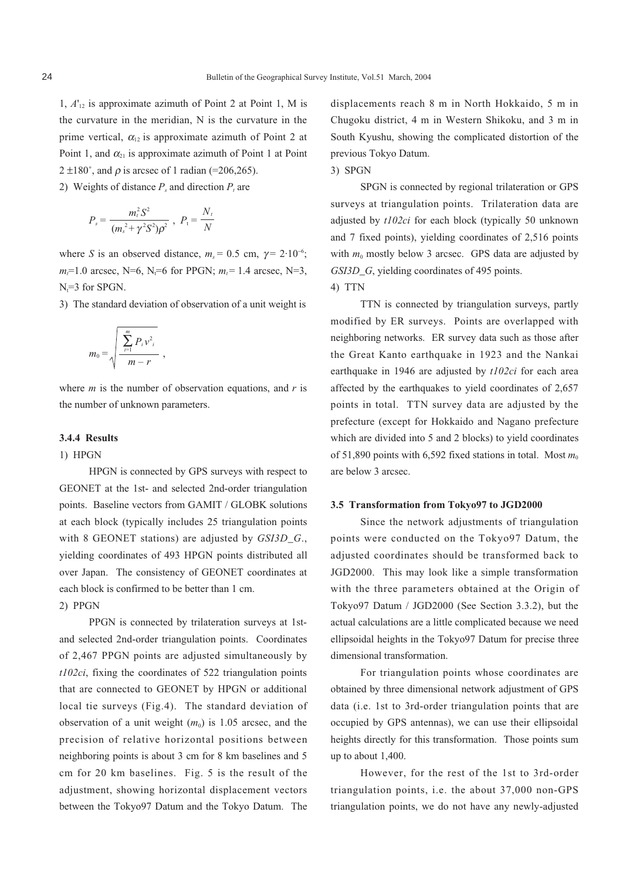1, *A*'12 is approximate azimuth of Point 2 at Point 1, M is the curvature in the meridian, N is the curvature in the prime vertical,  $\alpha_{12}$  is approximate azimuth of Point 2 at Point 1, and  $\alpha_{21}$  is approximate azimuth of Point 1 at Point  $2 \pm 180^{\circ}$ , and  $\rho$  is arcsec of 1 radian (=206,265).

2) Weights of distance  $P_s$  and direction  $P_t$  are

$$
P_s = \frac{m_t^2 S^2}{(m_s^2 + \gamma^2 S^2) \rho^2} , P_t = \frac{N_t}{N}
$$

where *S* is an observed distance,  $m_s = 0.5$  cm,  $\gamma = 2.10^{-6}$ ;  $m<sub>i</sub>=1.0$  arcsec, N=6, N<sub>t</sub>=6 for PPGN;  $m<sub>i</sub>=1.4$  arcsec, N=3,  $N_f = 3$  for SPGN.

3) The standard deviation of observation of a unit weight is

$$
m_0 = \sqrt{\frac{\sum_{i=1}^{m} P_i v_i^2}{m - r}},
$$

where *m* is the number of observation equations, and *r* is the number of unknown parameters.

## **3.4.4 Results**

#### 1) HPGN

HPGN is connected by GPS surveys with respect to GEONET at the 1st- and selected 2nd-order triangulation points. Baseline vectors from GAMIT / GLOBK solutions at each block (typically includes 25 triangulation points with 8 GEONET stations) are adjusted by *GSI3D\_G*., yielding coordinates of 493 HPGN points distributed all over Japan. The consistency of GEONET coordinates at each block is confirmed to be better than 1 cm.

## 2) PPGN

PPGN is connected by trilateration surveys at 1stand selected 2nd-order triangulation points. Coordinates of 2,467 PPGN points are adjusted simultaneously by *t102ci*, fixing the coordinates of 522 triangulation points that are connected to GEONET by HPGN or additional local tie surveys (Fig.4). The standard deviation of observation of a unit weight  $(m_0)$  is 1.05 arcsec, and the precision of relative horizontal positions between neighboring points is about 3 cm for 8 km baselines and 5 cm for 20 km baselines. Fig. 5 is the result of the adjustment, showing horizontal displacement vectors between the Tokyo97 Datum and the Tokyo Datum. The

displacements reach 8 m in North Hokkaido, 5 m in Chugoku district, 4 m in Western Shikoku, and 3 m in South Kyushu, showing the complicated distortion of the previous Tokyo Datum.

### 3) SPGN

SPGN is connected by regional trilateration or GPS surveys at triangulation points. Trilateration data are adjusted by *t102ci* for each block (typically 50 unknown and 7 fixed points), yielding coordinates of 2,516 points with  $m_0$  mostly below 3 arcsec. GPS data are adjusted by *GSI3D\_G*, yielding coordinates of 495 points.

## 4) TTN

TTN is connected by triangulation surveys, partly modified by ER surveys. Points are overlapped with neighboring networks. ER survey data such as those after the Great Kanto earthquake in 1923 and the Nankai earthquake in 1946 are adjusted by *t102ci* for each area affected by the earthquakes to yield coordinates of 2,657 points in total. TTN survey data are adjusted by the prefecture (except for Hokkaido and Nagano prefecture which are divided into 5 and 2 blocks) to yield coordinates of 51,890 points with 6,592 fixed stations in total. Most  $m_0$ are below 3 arcsec.

## **3.5 Transformation from Tokyo97 to JGD2000**

Since the network adjustments of triangulation points were conducted on the Tokyo97 Datum, the adjusted coordinates should be transformed back to JGD2000. This may look like a simple transformation with the three parameters obtained at the Origin of Tokyo97 Datum / JGD2000 (See Section 3.3.2), but the actual calculations are a little complicated because we need ellipsoidal heights in the Tokyo97 Datum for precise three dimensional transformation.

For triangulation points whose coordinates are obtained by three dimensional network adjustment of GPS data (i.e. 1st to 3rd-order triangulation points that are occupied by GPS antennas), we can use their ellipsoidal heights directly for this transformation. Those points sum up to about 1,400.

However, for the rest of the 1st to 3rd-order triangulation points, i.e. the about 37,000 non-GPS triangulation points, we do not have any newly-adjusted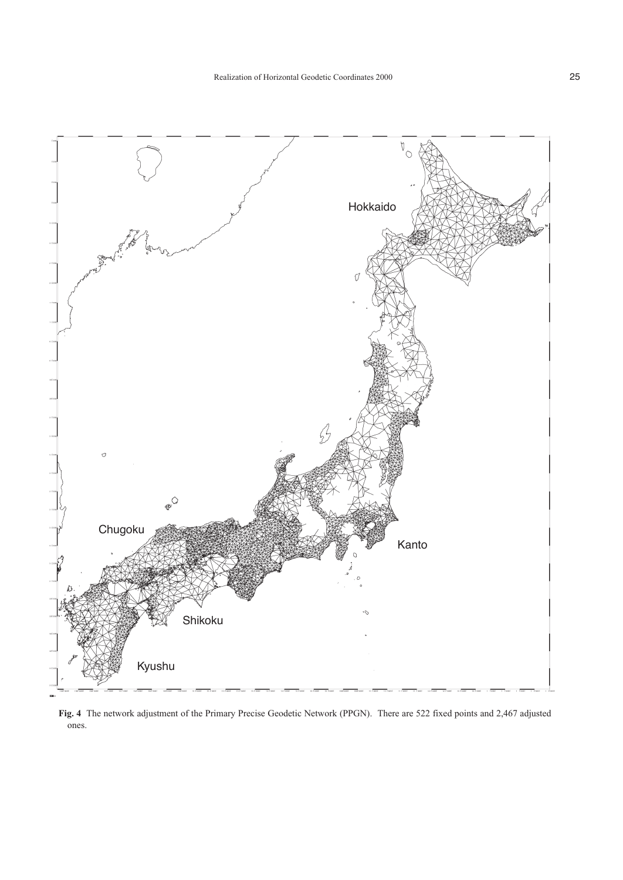

**Fig. 4** The network adjustment of the Primary Precise Geodetic Network (PPGN). There are 522 fixed points and 2,467 adjusted ones.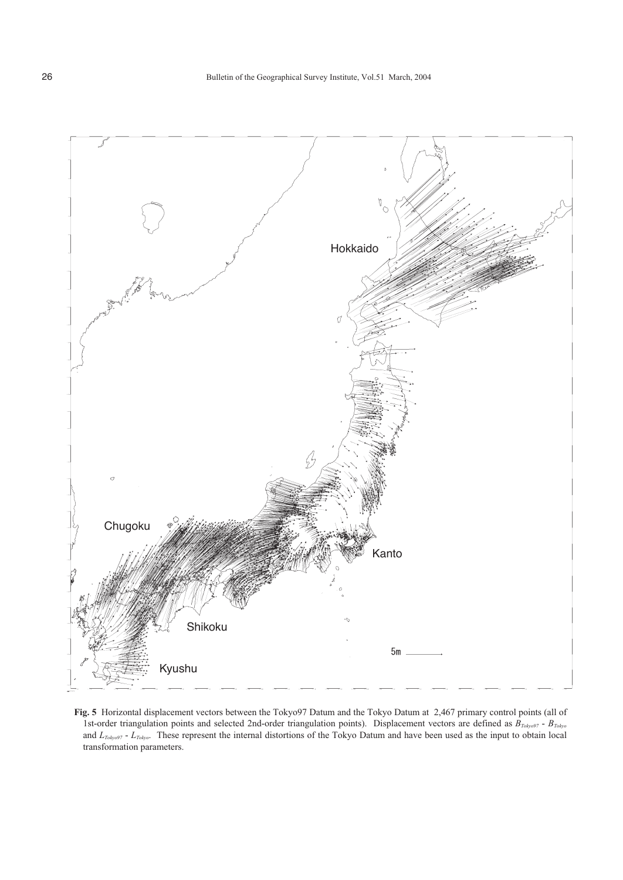

**Fig. 5** Horizontal displacement vectors between the Tokyo97 Datum and the Tokyo Datum at 2,467 primary control points (all of 1st-order triangulation points and selected 2nd-order triangulation points). Displacement vectors are defined as  $B_{T_0k_yo97}$  -  $B_{T_0k_yo97}$ and *LTokyo97* - *LTokyo*. These represent the internal distortions of the Tokyo Datum and have been used as the input to obtain local transformation parameters.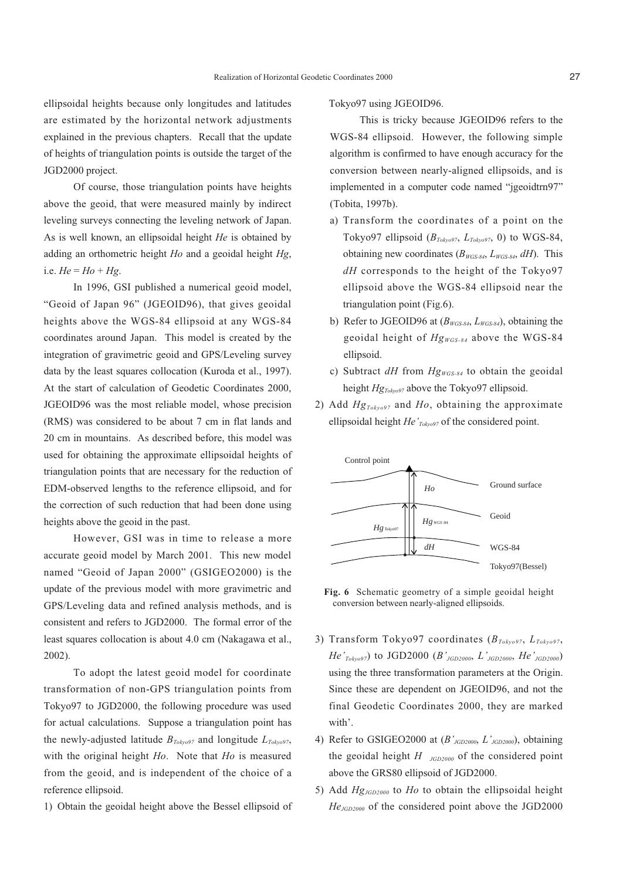ellipsoidal heights because only longitudes and latitudes are estimated by the horizontal network adjustments explained in the previous chapters. Recall that the update of heights of triangulation points is outside the target of the JGD2000 project.

Of course, those triangulation points have heights above the geoid, that were measured mainly by indirect leveling surveys connecting the leveling network of Japan. As is well known, an ellipsoidal height *He* is obtained by adding an orthometric height *Ho* and a geoidal height *Hg*, i.e.  $He = Ho + Hg$ .

In 1996, GSI published a numerical geoid model, "Geoid of Japan 96" (JGEOID96), that gives geoidal heights above the WGS-84 ellipsoid at any WGS-84 coordinates around Japan. This model is created by the integration of gravimetric geoid and GPS/Leveling survey data by the least squares collocation (Kuroda et al., 1997). At the start of calculation of Geodetic Coordinates 2000, JGEOID96 was the most reliable model, whose precision (RMS) was considered to be about 7 cm in flat lands and 20 cm in mountains. As described before, this model was used for obtaining the approximate ellipsoidal heights of triangulation points that are necessary for the reduction of EDM-observed lengths to the reference ellipsoid, and for the correction of such reduction that had been done using heights above the geoid in the past.

However, GSI was in time to release a more accurate geoid model by March 2001. This new model named "Geoid of Japan 2000" (GSIGEO2000) is the update of the previous model with more gravimetric and GPS/Leveling data and refined analysis methods, and is consistent and refers to JGD2000. The formal error of the least squares collocation is about 4.0 cm (Nakagawa et al., 2002).

To adopt the latest geoid model for coordinate transformation of non-GPS triangulation points from Tokyo97 to JGD2000, the following procedure was used for actual calculations. Suppose a triangulation point has the newly-adjusted latitude  $B_{Toky097}$  and longitude  $L_{Toky097}$ , with the original height *Ho*. Note that *Ho* is measured from the geoid, and is independent of the choice of a reference ellipsoid.

1) Obtain the geoidal height above the Bessel ellipsoid of

Tokyo97 using JGEOID96.

This is tricky because JGEOID96 refers to the WGS-84 ellipsoid. However, the following simple algorithm is confirmed to have enough accuracy for the conversion between nearly-aligned ellipsoids, and is implemented in a computer code named "jgeoidtrn97" (Tobita, 1997b).

- a) Transform the coordinates of a point on the Tokyo97 ellipsoid  $(B_{Toky97}, L_{Toky97}, 0)$  to WGS-84, obtaining new coordinates  $(B_{WGS-84}, L_{WGS-84}, dH)$ . This *dH* corresponds to the height of the Tokyo97 ellipsoid above the WGS-84 ellipsoid near the triangulation point (Fig.6).
- b) Refer to JGEOID96 at ( $B_{WGS-84}$ ,  $L_{WGS-84}$ ), obtaining the geoidal height of *HgWGS-84* above the WGS-84 ellipsoid.
- c) Subtract *dH* from  $Hg_{WGS-84}$  to obtain the geoidal height  $Hg_{Toky097}$  above the Tokyo97 ellipsoid.
- 2) Add *HgTokyo97* and *Ho*, obtaining the approximate ellipsoidal height *He'<sub>Tokyo97</sub>* of the considered point.



**Fig. 6** Schematic geometry of a simple geoidal height conversion between nearly-aligned ellipsoids.

- 3) Transform Tokyo97 coordinates (*BTokyo97*, *LTokyo97*, *He'Tokyo97*) to JGD2000 (*B'JGD2000*, *L'JGD2000*, *He'JGD2000*) using the three transformation parameters at the Origin. Since these are dependent on JGEOID96, and not the final Geodetic Coordinates 2000, they are marked with'.
- 4) Refer to GSIGEO2000 at (*B'JGD2000*, *L'JGD2000*), obtaining the geoidal height *H JGD2000* of the considered point above the GRS80 ellipsoid of JGD2000.
- 5) Add *HgJGD2000* to *Ho* to obtain the ellipsoidal height *HeJGD2000* of the considered point above the JGD2000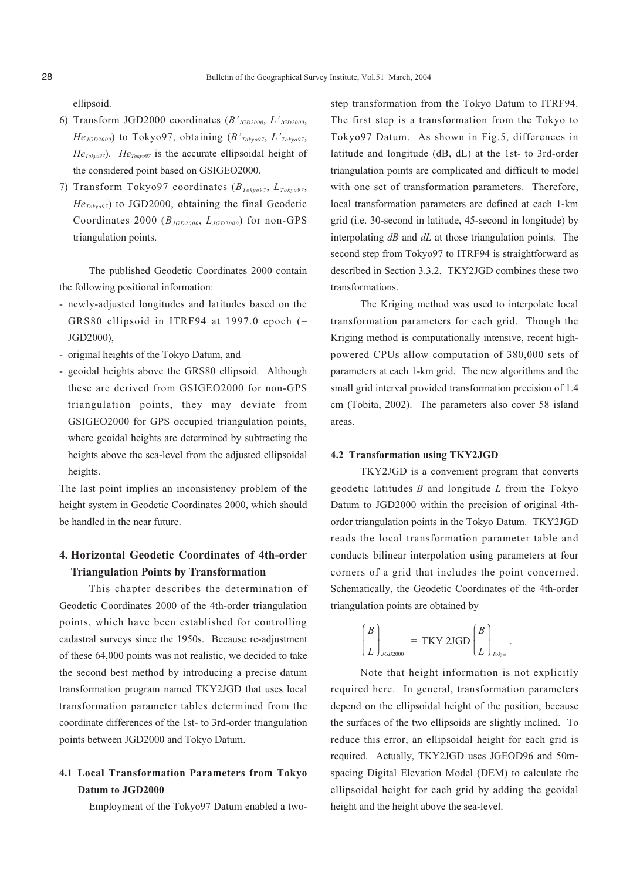ellipsoid.

- 6) Transform JGD2000 coordinates (*B'JGD2000*, *L'JGD2000*, *HeJGD2000*) to Tokyo97, obtaining (*B'Tokyo97*, *L'Tokyo97*,  $He<sub>Toky097</sub>$ ). *He<sub>Toky097</sub>* is the accurate ellipsoidal height of the considered point based on GSIGEO2000.
- 7) Transform Tokyo97 coordinates (*BTokyo97*, *LTokyo97*,  $He_{Toky_0q7}$  to JGD2000, obtaining the final Geodetic Coordinates 2000 (*BJGD2000*, *LJGD2000*) for non-GPS triangulation points.

The published Geodetic Coordinates 2000 contain the following positional information:

- newly-adjusted longitudes and latitudes based on the GRS80 ellipsoid in ITRF94 at 1997.0 epoch (= JGD2000),
- original heights of the Tokyo Datum, and
- geoidal heights above the GRS80 ellipsoid. Although these are derived from GSIGEO2000 for non-GPS triangulation points, they may deviate from GSIGEO2000 for GPS occupied triangulation points, where geoidal heights are determined by subtracting the heights above the sea-level from the adjusted ellipsoidal heights.

The last point implies an inconsistency problem of the height system in Geodetic Coordinates 2000, which should be handled in the near future.

# **4. Horizontal Geodetic Coordinates of 4th-order Triangulation Points by Transformation**

This chapter describes the determination of Geodetic Coordinates 2000 of the 4th-order triangulation points, which have been established for controlling cadastral surveys since the 1950s. Because re-adjustment of these 64,000 points was not realistic, we decided to take the second best method by introducing a precise datum transformation program named TKY2JGD that uses local transformation parameter tables determined from the coordinate differences of the 1st- to 3rd-order triangulation points between JGD2000 and Tokyo Datum.

# **4.1 Local Transformation Parameters from Tokyo Datum to JGD2000**

Employment of the Tokyo97 Datum enabled a two-

step transformation from the Tokyo Datum to ITRF94. The first step is a transformation from the Tokyo to Tokyo97 Datum. As shown in Fig.5, differences in latitude and longitude (dB, dL) at the 1st- to 3rd-order triangulation points are complicated and difficult to model with one set of transformation parameters. Therefore, local transformation parameters are defined at each 1-km grid (i.e. 30-second in latitude, 45-second in longitude) by interpolating *dB* and *dL* at those triangulation points. The second step from Tokyo97 to ITRF94 is straightforward as described in Section 3.3.2. TKY2JGD combines these two transformations.

The Kriging method was used to interpolate local transformation parameters for each grid. Though the Kriging method is computationally intensive, recent highpowered CPUs allow computation of 380,000 sets of parameters at each 1-km grid. The new algorithms and the small grid interval provided transformation precision of 1.4 cm (Tobita, 2002). The parameters also cover 58 island areas.

### **4.2 Transformation using TKY2JGD**

TKY2JGD is a convenient program that converts geodetic latitudes *B* and longitude *L* from the Tokyo Datum to JGD2000 within the precision of original 4thorder triangulation points in the Tokyo Datum. TKY2JGD reads the local transformation parameter table and conducts bilinear interpolation using parameters at four corners of a grid that includes the point concerned. Schematically, the Geodetic Coordinates of the 4th-order triangulation points are obtained by

$$
\begin{pmatrix} B \\ L \end{pmatrix}_{JGD2000} = \text{TKY } 2\text{JGD} \begin{pmatrix} B \\ L \end{pmatrix}_{\text{Toby}}.
$$

Note that height information is not explicitly required here. In general, transformation parameters depend on the ellipsoidal height of the position, because the surfaces of the two ellipsoids are slightly inclined. To reduce this error, an ellipsoidal height for each grid is required. Actually, TKY2JGD uses JGEOD96 and 50mspacing Digital Elevation Model (DEM) to calculate the ellipsoidal height for each grid by adding the geoidal height and the height above the sea-level.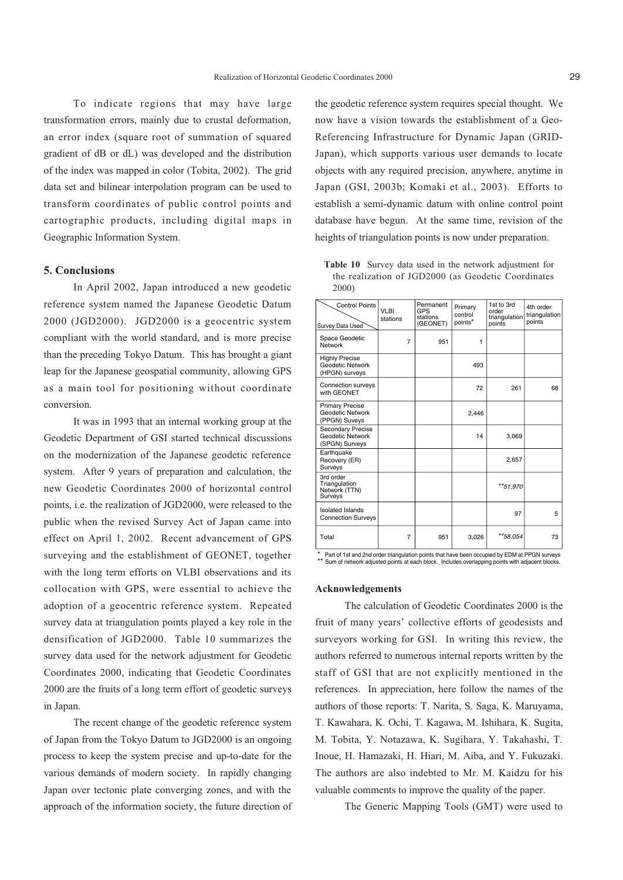To indicate regions that may have large transformation errors, mainly due to crustal deformation, an error index (square root of summation of squared gradient of dB or dL) was developed and the distribution of the index was mapped in color (Tobita, 2002). The grid data set and bilinear interpolation program can be used to transform coordinates of public control points and cartographic products, including digital maps in Geographic Information System.

## **5. Conclusions**

In April 2002, Japan introduced a new geodetic reference system named the Japanese Geodetic Datum 2000 (JGD2000). JGD2000 is a geocentric system compliant with the world standard, and is more precise than the preceding Tokyo Datum. This has brought a giant leap for the Japanese geospatial community, allowing GPS as a main tool for positioning without coordinate conversion.

It was in 1993 that an internal working group at the Geodetic Department of GSI started technical discussions on the modernization of the Japanese geodetic reference system. After 9 years of preparation and calculation, the new Geodetic Coordinates 2000 of horizontal control points, i.e. the realization of JGD2000, were released to the public when the revised Survey Act of Japan came into effect on April 1, 2002. Recent advancement of GPS surveying and the establishment of GEONET, together with the long term efforts on VLBI observations and its collocation with GPS, were essential to achieve the adoption of a geocentric reference system. Repeated survey data at triangulation points played a key role in the densification of JGD2000. Table 10 summarizes the survey data used for the network adjustment for Geodetic Coordinates 2000, indicating that Geodetic Coordinates 2000 are the fruits of a long term effort of geodetic surveys in Japan.

The recent change of the geodetic reference system of Japan from the Tokyo Datum to JGD2000 is an ongoing process to keep the system precise and up-to-date for the various demands of modern society. In rapidly changing Japan over tectonic plate converging zones, and with the approach of the information society, the future direction of the geodetic reference system requires special thought. We now have a vision towards the establishment of a Geo-Referencing Infrastructure for Dynamic Japan (GRID-Japan), which supports various user demands to locate objects with any required precision, anywhere, anytime in Japan (GSI, 2003b; Komaki et al., 2003). Efforts to establish a semi-dynamic datum with online control point database have begun. At the same time, revision of the heights of triangulation points is now under preparation.

**Table 10** Survey data used in the network adjustment for the realization of JGD2000 (as Geodetic Coordinates 2000)

| <b>Control Points</b><br>Survey Data Used                             | <b>VLBI</b><br>stations | Permanent<br>GPS<br>stations<br>(GEONET) | Primary<br>control<br>points* | 1st to 3rd<br>order<br>triangulation<br>points | 4th order<br>triangulation<br>points |
|-----------------------------------------------------------------------|-------------------------|------------------------------------------|-------------------------------|------------------------------------------------|--------------------------------------|
| Space Geodetic<br>Network                                             | 7                       | 951                                      | 1                             |                                                |                                      |
| <b>Highly Precise</b><br>Geodetic Network<br>(HPGN) surveys           |                         |                                          | 493                           |                                                |                                      |
| Connection surveys<br>with GEONET                                     |                         |                                          | 72                            | 261                                            | 68                                   |
| <b>Primary Precise</b><br><b>Geodetic Network</b><br>(PPGN) Suveys    |                         |                                          | 2,446                         |                                                |                                      |
| <b>Secondary Precise</b><br><b>Geodetic Network</b><br>(SPGN) Surveys |                         |                                          | 14                            | 3,069                                          |                                      |
| Earthquake<br>Recovery (ER)<br>Surveys                                |                         |                                          |                               | 2,657                                          |                                      |
| 3rd order<br>Triangulation<br>Network (TTN)<br>Surveys                |                         |                                          |                               | **51,970                                       |                                      |
| <b>Isolated Islands</b><br><b>Connection Surveys</b>                  |                         |                                          |                               | 97                                             | 5                                    |
| Total                                                                 | $\overline{7}$          | 951                                      | 3,026                         | **58,054                                       | 73                                   |
|                                                                       |                         |                                          |                               |                                                |                                      |

Part of 1st and 2nd order triangulation points that have been occupied by EDM at PPGN surveys Sum of network adjusted points at each block. Includes overlapping points with adjacent blocks

#### **Acknowledgements**

The calculation of Geodetic Coordinates 2000 is the fruit of many years' collective efforts of geodesists and surveyors working for GSI. In writing this review, the authors referred to numerous internal reports written by the staff of GSI that are not explicitly mentioned in the references. In appreciation, here follow the names of the authors of those reports: T. Narita, S. Saga, K. Maruyama, T. Kawahara, K. Ochi, T. Kagawa, M. Ishihara, K. Sugita, M. Tobita, Y. Notazawa, K. Sugihara, Y. Takahashi, T. Inoue, H. Hamazaki, H. Hiari, M. Aiba, and Y. Fukuzaki. The authors are also indebted to Mr. M. Kaidzu for his valuable comments to improve the quality of the paper.

The Generic Mapping Tools (GMT) were used to